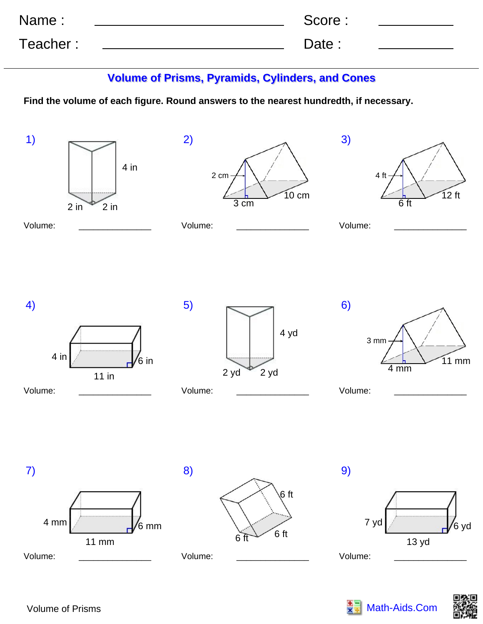| Name:    | Score: |  |
|----------|--------|--|
| Teacher: | Date:  |  |

## **Volume of Prisms, Pyramids, Cylinders, and Cones**

**Find the volume of each figure. Round answers to the nearest hundredth, if necessary.**